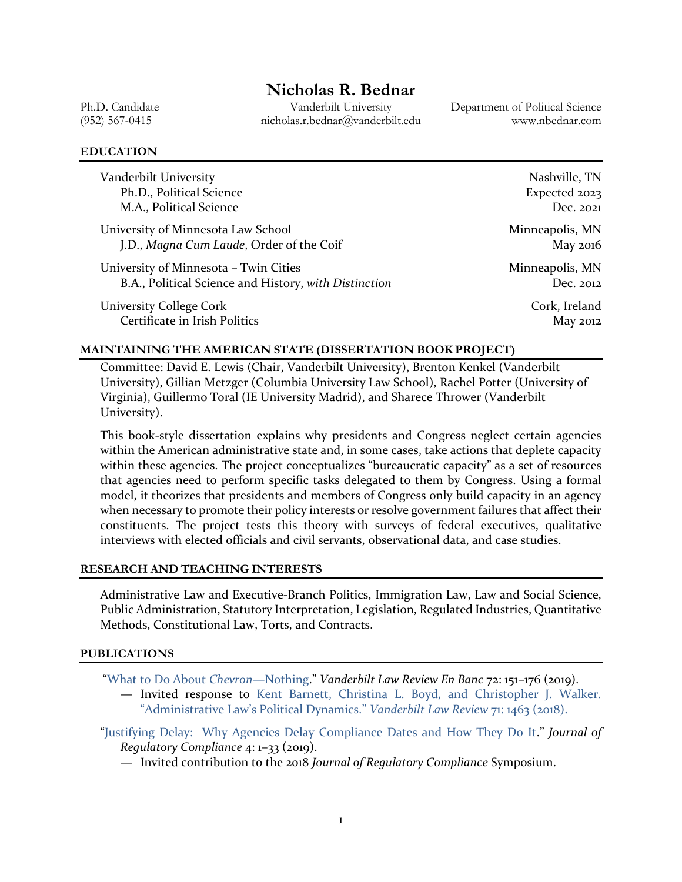# **Nicholas R. Bednar**

Ph.D. Candidate Vanderbilt University Department of Political Science (952) 567-0415 nicholas.r.bednar@vanderbilt.edu www.nbednar.com

#### **EDUCATION**

| Vanderbilt University                                 | Nashville, TN   |
|-------------------------------------------------------|-----------------|
| Ph.D., Political Science                              | Expected 2023   |
| M.A., Political Science                               | Dec. 2021       |
| University of Minnesota Law School                    | Minneapolis, MN |
| J.D., Magna Cum Laude, Order of the Coif              | May 2016        |
| University of Minnesota - Twin Cities                 | Minneapolis, MN |
| B.A., Political Science and History, with Distinction | Dec. 2012       |
| <b>University College Cork</b>                        | Cork, Ireland   |
| Certificate in Irish Politics                         | May 2012        |

#### **MAINTAINING THE AMERICAN STATE (DISSERTATION BOOK PROJECT)**

Committee: David E. Lewis (Chair, Vanderbilt University), Brenton Kenkel (Vanderbilt University), Gillian Metzger (Columbia University Law School), Rachel Potter (University of Virginia), Guillermo Toral (IE University Madrid), and Sharece Thrower (Vanderbilt University).

This book-style dissertation explains why presidents and Congress neglect certain agencies within the American administrative state and, in some cases, take actions that deplete capacity within these agencies. The project conceptualizes "bureaucratic capacity" as a set of resources that agencies need to perform specific tasks delegated to them by Congress. Using a formal model, it theorizes that presidents and members of Congress only build capacity in an agency when necessary to promote their policy interests or resolve government failures that affect their constituents. The project tests this theory with surveys of federal executives, qualitative interviews with elected officials and civil servants, observational data, and case studies.

#### **RESEARCH AND TEACHING INTERESTS**

Administrative Law and Executive-Branch Politics, Immigration Law, Law and Social Science, Public Administration, Statutory Interpretation, Legislation, Regulated Industries, Quantitative Methods, Constitutional Law, Torts, and Contracts.

#### **PUBLICATIONS**

"[What to Do About](https://wp0.vanderbilt.edu/lawreview/2019/04/what-to-do-about-chevron-nothing/) *Chevron*—Nothing." *Vanderbilt Law Review En Banc* 72: 151–176 (2019). — Invited response to [Kent Barnett, Christina L. Boyd, and Christopher J. Walker.](https://scholarship.law.vanderbilt.edu/vlr/vol71/iss5/2/) 

["Administrative Law's Political Dynamics."](https://scholarship.law.vanderbilt.edu/vlr/vol71/iss5/2/) *Vanderbilt Law Review* 71: 1463 (2018).

- "[Justifying Delay: Why Agencies Delay Compliance Dates and How They Do It](https://www.compliancelawjournal.com/compliancelawjournal/issue_iv/MobilePagedReplica.action?pm=1&folio=1#pg5)." *Journal of Regulatory Compliance* 4: 1–33 (2019).
	- Invited contribution to the 2018 *Journal of Regulatory Compliance* Symposium.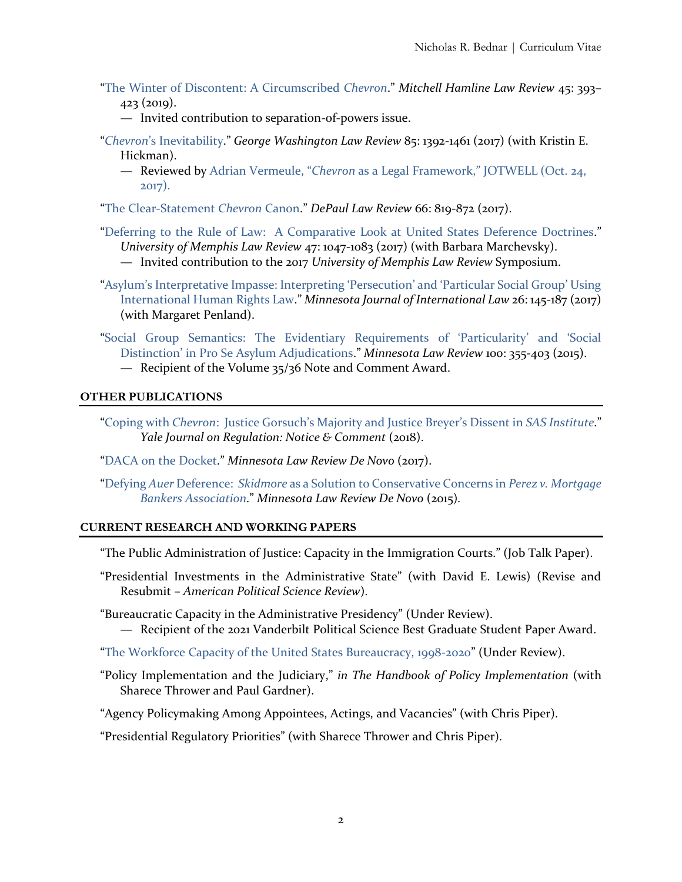- "[The Winter of Discontent: A Circumscribed](https://open.mitchellhamline.edu/mhlr/vol45/iss2/2/) *Chevron*." *Mitchell Hamline Law Review* 45: 393– 423 (2019).
	- Invited contribution to separation-of-powers issue.
- "*Chevron*['s Inevitability.](https://www.gwlr.org/wp-content/uploads/2018/01/85-Geo.-Wash.-L.-Rev.-1392.pdf)" *George Washington Law Review* 85: 1392-1461 (2017) (with Kristin E. Hickman).
	- Reviewed by Adrian Vermeule, "*Chevron* [as a Legal Framework,"](https://adlaw.jotwell.com/chevron-as-a-legal-framework/) JOTWELL (Oct. 24, [2017\).](https://adlaw.jotwell.com/chevron-as-a-legal-framework/)

"[The Clear-Statement](https://via.library.depaul.edu/law-review/vol66/iss3/3/) *Chevron* Canon." *DePaul Law Review* 66: 819-872 (2017).

"[Deferring to the Rule of Law: A Comparative Look at United States Deference Doctrines](https://www.memphis.edu/law/documents/bednar-marchevsky.pdf)." *University of Memphis Law Review* 47: 1047-1083 (2017) (with Barbara Marchevsky).

— Invited contribution to the 2017 *University of Memphis Law Review* Symposium.

- ["Asylum's Interpretative Impasse: Interpreting 'Persecution' and 'Particular Social Group' Using](https://scholarship.law.umn.edu/mjil/261/)  [International Human Rights Law](https://scholarship.law.umn.edu/mjil/261/)." *Minnesota Journal of International Law* 26: 145-187 (2017) (with Margaret Penland).
- ["Social Group Semantics: The Evidentiary Requirements of 'Particularity' and 'Social](https://www.minnesotalawreview.org/wp-content/uploads/2019/07/Bednar_ONLINEPDF.pdf)  [Distinction' in Pro Se Asylum Adjudications.](https://www.minnesotalawreview.org/wp-content/uploads/2019/07/Bednar_ONLINEPDF.pdf)" *Minnesota Law Review* 100: 355-403 (2015).
	- Recipient of the Volume 35/36 Note and Comment Award.

### **OTHER PUBLICATIONS**

- "Coping with *Chevron*[: Justice Gorsuch's Majority and Justice Breyer's Dissent in](https://www.yalejreg.com/nc/coping-with-chevron-justice-gorsuchs-majority-and-justice-breyers-dissent-in-sas-institute-by-nicholas-r-bednar/) *SAS Institute*." *Yale Journal on Regulation: Notice & Comment* (2018).
- "[DACA on the Docket](https://minnesotalawreview.org/2017/01/19/daca-on-the-docket/)." *Minnesota Law Review De Novo* (2017).
- "Defying *Auer* Deference: *Skidmore* [as a Solution to Conservative Concerns in](https://minnesotalawreview.org/2015/06/24/defying-auer-deference-skidmore-solution-conservative-concerns-perez-v-mortgage-bankers-association/) *Perez v. Mortgage [Bankers Association](https://minnesotalawreview.org/2015/06/24/defying-auer-deference-skidmore-solution-conservative-concerns-perez-v-mortgage-bankers-association/)*." *Minnesota Law Review De Novo* (2015)*.*

#### **CURRENT RESEARCH AND WORKING PAPERS**

"The Public Administration of Justice: Capacity in the Immigration Courts." (Job Talk Paper).

- "Presidential Investments in the Administrative State" (with David E. Lewis) (Revise and Resubmit – *American Political Science Review*).
- "Bureaucratic Capacity in the Administrative Presidency" (Under Review).
	- Recipient of the 2021 Vanderbilt Political Science Best Graduate Student Paper Award.
- "[The Workforce Capacity of the United States Bureaucracy, 1998-2020](https://papers.ssrn.com/sol3/papers.cfm?abstract_id=3987431)" (Under Review).
- "Policy Implementation and the Judiciary," *in The Handbook of Policy Implementation* (with Sharece Thrower and Paul Gardner).
- "Agency Policymaking Among Appointees, Actings, and Vacancies" (with Chris Piper).

"Presidential Regulatory Priorities" (with Sharece Thrower and Chris Piper).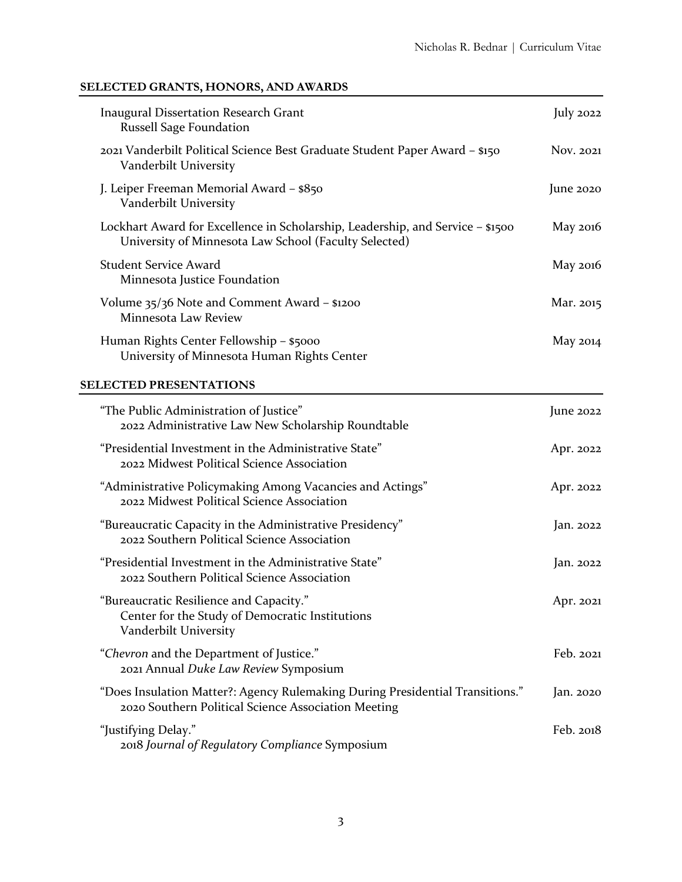# **SELECTED GRANTS, HONORS, AND AWARDS**

| <b>Inaugural Dissertation Research Grant</b><br><b>Russell Sage Foundation</b>                                                          | July $2022$ |
|-----------------------------------------------------------------------------------------------------------------------------------------|-------------|
| 2021 Vanderbilt Political Science Best Graduate Student Paper Award - \$150<br>Vanderbilt University                                    | Nov. 2021   |
| J. Leiper Freeman Memorial Award - \$850<br>Vanderbilt University                                                                       | June $2020$ |
| Lockhart Award for Excellence in Scholarship, Leadership, and Service - \$1500<br>University of Minnesota Law School (Faculty Selected) | May 2016    |
| <b>Student Service Award</b><br>Minnesota Justice Foundation                                                                            | May 2016    |
| Volume 35/36 Note and Comment Award – \$1200<br>Minnesota Law Review                                                                    | Mar. 2015   |
| Human Rights Center Fellowship - \$5000<br>University of Minnesota Human Rights Center                                                  | May $2014$  |
| <b>SELECTED PRESENTATIONS</b>                                                                                                           |             |
| "The Public Administration of Justice"<br>2022 Administrative Law New Scholarship Roundtable                                            | June $2022$ |
| "Presidential Investment in the Administrative State"<br>2022 Midwest Political Science Association                                     | Apr. 2022   |
| "Administrative Policymaking Among Vacancies and Actings"<br>2022 Midwest Political Science Association                                 | Apr. 2022   |
| "Bureaucratic Capacity in the Administrative Presidency"<br>2022 Southern Political Science Association                                 | Jan. 2022   |
| "Presidential Investment in the Administrative State"<br>2022 Southern Political Science Association                                    | Jan. 2022   |
| 'Bureaucratic Resilience and Capacity."<br>Center for the Study of Democratic Institutions<br>Vanderbilt University                     | Apr. 2021   |
| "Chevron and the Department of Justice."<br>2021 Annual Duke Law Review Symposium                                                       | Feb. 2021   |
| "Does Insulation Matter?: Agency Rulemaking During Presidential Transitions."<br>2020 Southern Political Science Association Meeting    | Jan. 2020   |
| "Justifying Delay."<br>2018 Journal of Regulatory Compliance Symposium                                                                  | Feb. 2018   |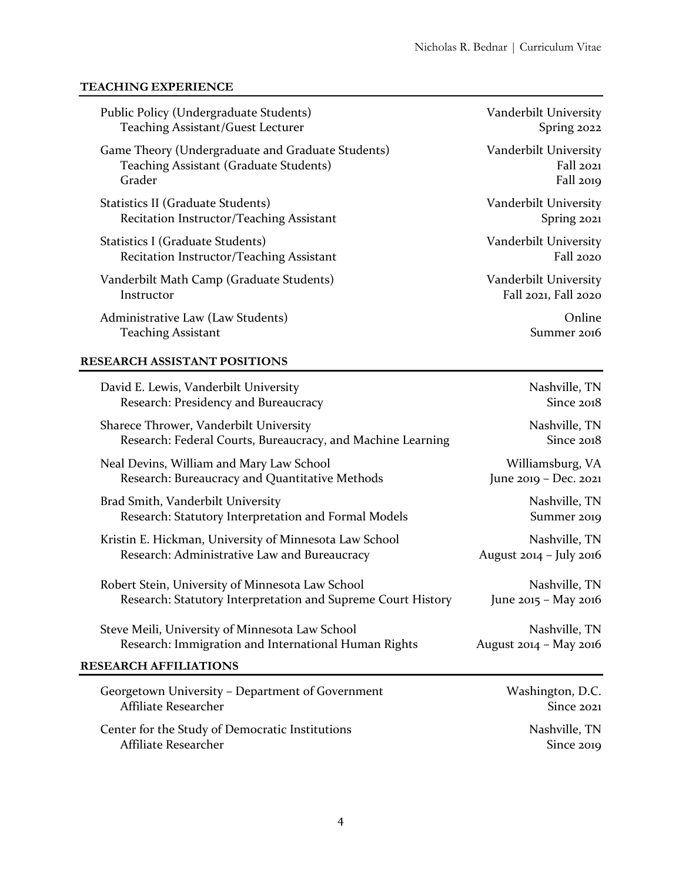#### **TEACHING EXPERIENCE**

| Public Policy (Undergraduate Students)                      | Vanderbilt University |
|-------------------------------------------------------------|-----------------------|
| <b>Teaching Assistant/Guest Lecturer</b>                    | Spring 2022           |
| Game Theory (Undergraduate and Graduate Students)           | Vanderbilt University |
| Teaching Assistant (Graduate Students)                      | Fall 2021             |
| Grader                                                      | Fall 2019             |
| Statistics II (Graduate Students)                           | Vanderbilt University |
| Recitation Instructor/Teaching Assistant                    | Spring 2021           |
| Statistics I (Graduate Students)                            | Vanderbilt University |
| Recitation Instructor/Teaching Assistant                    | <b>Fall 2020</b>      |
| Vanderbilt Math Camp (Graduate Students)                    | Vanderbilt University |
| Instructor                                                  | Fall 2021, Fall 2020  |
| Administrative Law (Law Students)                           | Online                |
| <b>Teaching Assistant</b>                                   | Summer 2016           |
| <b>RESEARCH ASSISTANT POSITIONS</b>                         |                       |
| David E. Lewis, Vanderbilt University                       | Nashville, TN         |
| Research: Presidency and Bureaucracy                        | Since 2018            |
| Sharece Thrower, Vanderbilt University                      | Nashville, TN         |
| Research: Federal Courts, Bureaucracy, and Machine Learning | Since 2018            |
| Neal Devins, William and Mary Law School                    | Williamsburg, VA      |
| Research: Bureaucracy and Quantitative Methods              | June 2019 - Dec. 2021 |
| Brad Smith, Vanderbilt University                           | Nashville, TN         |

Research: Statutory Interpretation and Formal Models Summer 2019

Kristin E. Hickman, University of Minnesota Law School Nashville, TN Research: Administrative Law and Bureaucracy **August 2014 - July 2016** 

Robert Stein, University of Minnesota Law School Nashville, TN Research: Statutory Interpretation and Supreme Court History June 2015 - May 2016

Steve Meili, University of Minnesota Law School Nashville, TN Research: Immigration and International Human Rights August 2014 - May 2016

### **RESEARCH AFFILIATIONS**

| Georgetown University – Department of Government | Washington, D.C. |
|--------------------------------------------------|------------------|
| Affiliate Researcher                             | Since 2021       |
| Center for the Study of Democratic Institutions  | Nashville, TN    |
| Affiliate Researcher                             | Since 2019       |